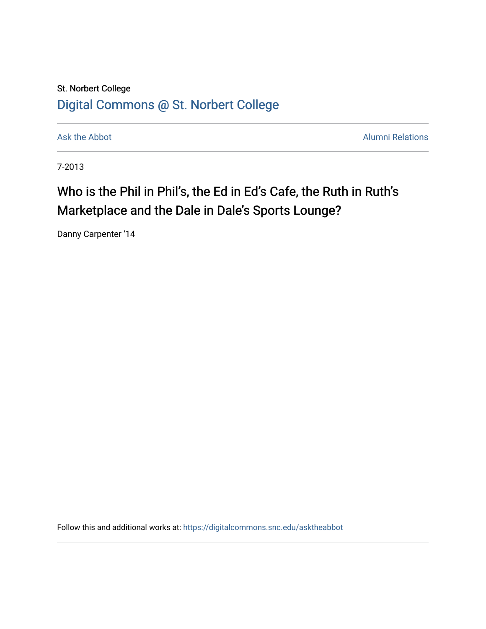## St. Norbert College [Digital Commons @ St. Norbert College](https://digitalcommons.snc.edu/)

[Ask the Abbot](https://digitalcommons.snc.edu/asktheabbot) **Alumni Relations** Ask the Abbot **Alumni Relations** 

7-2013

# Who is the Phil in Phil's, the Ed in Ed's Cafe, the Ruth in Ruth's Marketplace and the Dale in Dale's Sports Lounge?

Danny Carpenter '14

Follow this and additional works at: [https://digitalcommons.snc.edu/asktheabbot](https://digitalcommons.snc.edu/asktheabbot?utm_source=digitalcommons.snc.edu%2Fasktheabbot%2F72&utm_medium=PDF&utm_campaign=PDFCoverPages)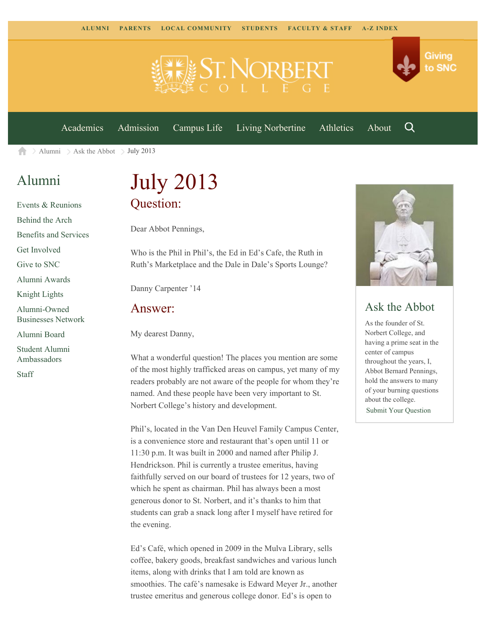

[Academics](https://www.snc.edu/academics) [Admission](https://www.snc.edu/admission) [Campus Life](https://www.snc.edu/campuslife) [Living Norbertine](https://www.snc.edu/livingnorbertine) [Athletics](https://www.snc.edu/athletics) [About](https://www.snc.edu/about)

Q

Giving

to SNC

[Alumni](https://www.snc.edu/alumni/)  $\geq$  [Ask the Abbot](https://www.snc.edu/alumni/abbot/)  $\geq$  July 2013 合

### [Alumni](https://www.snc.edu/alumni/index.html)

[Events & Reunions](https://www.snc.edu/alumni/event/index.html) [Behind the Arch](https://www.snc.edu/alumni/event/behindthearch/) [Benefits and Services](https://www.snc.edu/alumni/benefits.html) [Get Involved](https://www.snc.edu/alumni/getinvolved.html) [Give to SNC](http://giving.snc.edu/) [Alumni Awards](https://www.snc.edu/alumni/awards/index.html) [Knight Lights](https://www.snc.edu/alumni/knightlights/index.html) [Alumni-Owned](https://www.snc.edu/alumni/directory/index.html) [Businesses Network](https://www.snc.edu/alumni/directory/index.html) [Alumni Board](https://www.snc.edu/alumni/alumniboard.html) [Student Alumni](https://www.snc.edu/alumni/saa.html) [Ambassadors](https://www.snc.edu/alumni/saa.html) [Staff](https://www.snc.edu/alumni/contactus.html)

# July 2013 Question:

Dear Abbot Pennings,

Who is the Phil in Phil's, the Ed in Ed's Cafe, the Ruth in Ruth's Marketplace and the Dale in Dale's Sports Lounge?

Danny Carpenter '14

#### Answer:

My dearest Danny,

What a wonderful question! The places you mention are some of the most highly trafficked areas on campus, yet many of my readers probably are not aware of the people for whom they're named. And these people have been very important to St. Norbert College's history and development.

Phil's, located in the Van Den Heuvel Family Campus Center, is a convenience store and restaurant that's open until 11 or 11:30 p.m. It was built in 2000 and named after Philip J. Hendrickson. Phil is currently a trustee emeritus, having faithfully served on our board of trustees for 12 years, two of which he spent as chairman. Phil has always been a most generous donor to St. Norbert, and it's thanks to him that students can grab a snack long after I myself have retired for the evening.

Ed's Café, which opened in 2009 in the Mulva Library, sells coffee, bakery goods, breakfast sandwiches and various lunch items, along with drinks that I am told are known as smoothies. The café's namesake is Edward Meyer Jr., another trustee emeritus and generous college donor. Ed's is open to



### Ask the Abbot

As the founder of St. Norbert College, and having a prime seat in the center of campus throughout the years, I, Abbot Bernard Pennings, hold the answers to many of your burning questions about the college. [Submit Your Question](https://www.snc.edu/alumni/abbot/index.html)